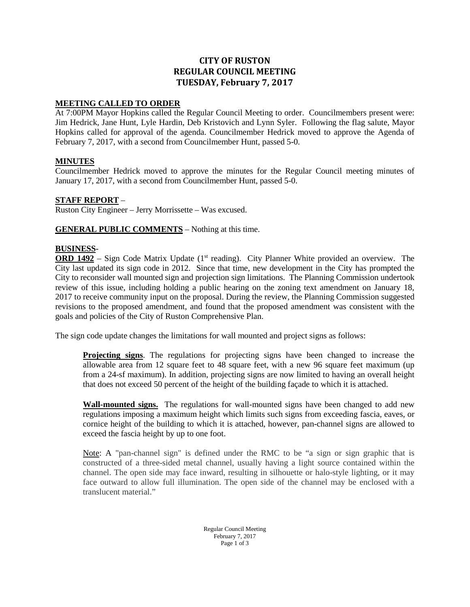# **CITY OF RUSTON REGULAR COUNCIL MEETING TUESDAY, February 7, 2017**

### **MEETING CALLED TO ORDER**

At 7:00PM Mayor Hopkins called the Regular Council Meeting to order. Councilmembers present were: Jim Hedrick, Jane Hunt, Lyle Hardin, Deb Kristovich and Lynn Syler. Following the flag salute, Mayor Hopkins called for approval of the agenda. Councilmember Hedrick moved to approve the Agenda of February 7, 2017, with a second from Councilmember Hunt, passed 5-0.

#### **MINUTES**

Councilmember Hedrick moved to approve the minutes for the Regular Council meeting minutes of January 17, 2017, with a second from Councilmember Hunt, passed 5-0.

## **STAFF REPORT** –

Ruston City Engineer – Jerry Morrissette – Was excused.

**GENERAL PUBLIC COMMENTS** – Nothing at this time.

#### **BUSINESS**-

**ORD 1492** – Sign Code Matrix Update (1<sup>st</sup> reading). City Planner White provided an overview. The City last updated its sign code in 2012. Since that time, new development in the City has prompted the City to reconsider wall mounted sign and projection sign limitations. The Planning Commission undertook review of this issue, including holding a public hearing on the zoning text amendment on January 18, 2017 to receive community input on the proposal. During the review, the Planning Commission suggested revisions to the proposed amendment, and found that the proposed amendment was consistent with the goals and policies of the City of Ruston Comprehensive Plan.

The sign code update changes the limitations for wall mounted and project signs as follows:

**Projecting signs**. The regulations for projecting signs have been changed to increase the allowable area from 12 square feet to 48 square feet, with a new 96 square feet maximum (up from a 24-sf maximum). In addition, projecting signs are now limited to having an overall height that does not exceed 50 percent of the height of the building façade to which it is attached.

**Wall-mounted signs.** The regulations for wall-mounted signs have been changed to add new regulations imposing a maximum height which limits such signs from exceeding fascia, eaves, or cornice height of the building to which it is attached, however, pan-channel signs are allowed to exceed the fascia height by up to one foot.

Note: A "pan-channel sign" is defined under the RMC to be "a sign or sign graphic that is constructed of a three-sided metal channel, usually having a light source contained within the channel. The open side may face inward, resulting in silhouette or halo-style lighting, or it may face outward to allow full illumination. The open side of the channel may be enclosed with a translucent material."

> Regular Council Meeting February 7, 2017 Page 1 of 3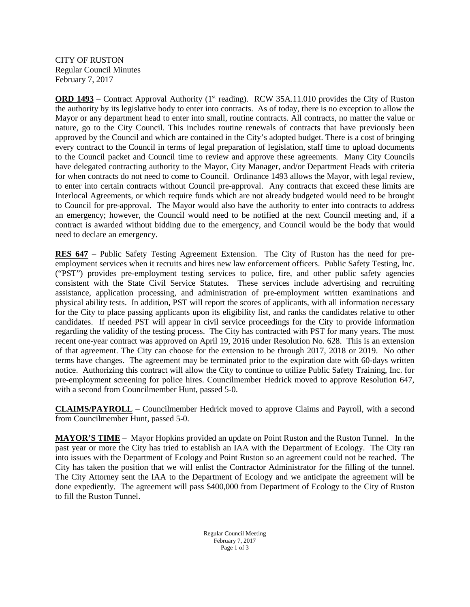CITY OF RUSTON Regular Council Minutes February 7, 2017

**ORD 1493** – Contract Approval Authority (1<sup>st</sup> reading). RCW 35A.11.010 provides the City of Ruston the authority by its legislative body to enter into contracts. As of today, there is no exception to allow the Mayor or any department head to enter into small, routine contracts. All contracts, no matter the value or nature, go to the City Council. This includes routine renewals of contracts that have previously been approved by the Council and which are contained in the City's adopted budget. There is a cost of bringing every contract to the Council in terms of legal preparation of legislation, staff time to upload documents to the Council packet and Council time to review and approve these agreements. Many City Councils have delegated contracting authority to the Mayor, City Manager, and/or Department Heads with criteria for when contracts do not need to come to Council. Ordinance 1493 allows the Mayor, with legal review, to enter into certain contracts without Council pre-approval. Any contracts that exceed these limits are Interlocal Agreements, or which require funds which are not already budgeted would need to be brought to Council for pre-approval. The Mayor would also have the authority to enter into contracts to address an emergency; however, the Council would need to be notified at the next Council meeting and, if a contract is awarded without bidding due to the emergency, and Council would be the body that would need to declare an emergency.

**RES 647** – Public Safety Testing Agreement Extension. The City of Ruston has the need for preemployment services when it recruits and hires new law enforcement officers. Public Safety Testing, Inc. ("PST") provides pre-employment testing services to police, fire, and other public safety agencies consistent with the State Civil Service Statutes. These services include advertising and recruiting assistance, application processing, and administration of pre-employment written examinations and physical ability tests. In addition, PST will report the scores of applicants, with all information necessary for the City to place passing applicants upon its eligibility list, and ranks the candidates relative to other candidates. If needed PST will appear in civil service proceedings for the City to provide information regarding the validity of the testing process. The City has contracted with PST for many years. The most recent one-year contract was approved on April 19, 2016 under Resolution No. 628. This is an extension of that agreement. The City can choose for the extension to be through 2017, 2018 or 2019. No other terms have changes. The agreement may be terminated prior to the expiration date with 60-days written notice. Authorizing this contract will allow the City to continue to utilize Public Safety Training, Inc. for pre-employment screening for police hires. Councilmember Hedrick moved to approve Resolution 647, with a second from Councilmember Hunt, passed 5-0.

**CLAIMS/PAYROLL** – Councilmember Hedrick moved to approve Claims and Payroll, with a second from Councilmember Hunt, passed 5-0.

**MAYOR'S TIME** – Mayor Hopkins provided an update on Point Ruston and the Ruston Tunnel. In the past year or more the City has tried to establish an IAA with the Department of Ecology. The City ran into issues with the Department of Ecology and Point Ruston so an agreement could not be reached. The City has taken the position that we will enlist the Contractor Administrator for the filling of the tunnel. The City Attorney sent the IAA to the Department of Ecology and we anticipate the agreement will be done expediently. The agreement will pass \$400,000 from Department of Ecology to the City of Ruston to fill the Ruston Tunnel.

> Regular Council Meeting February 7, 2017 Page 1 of 3